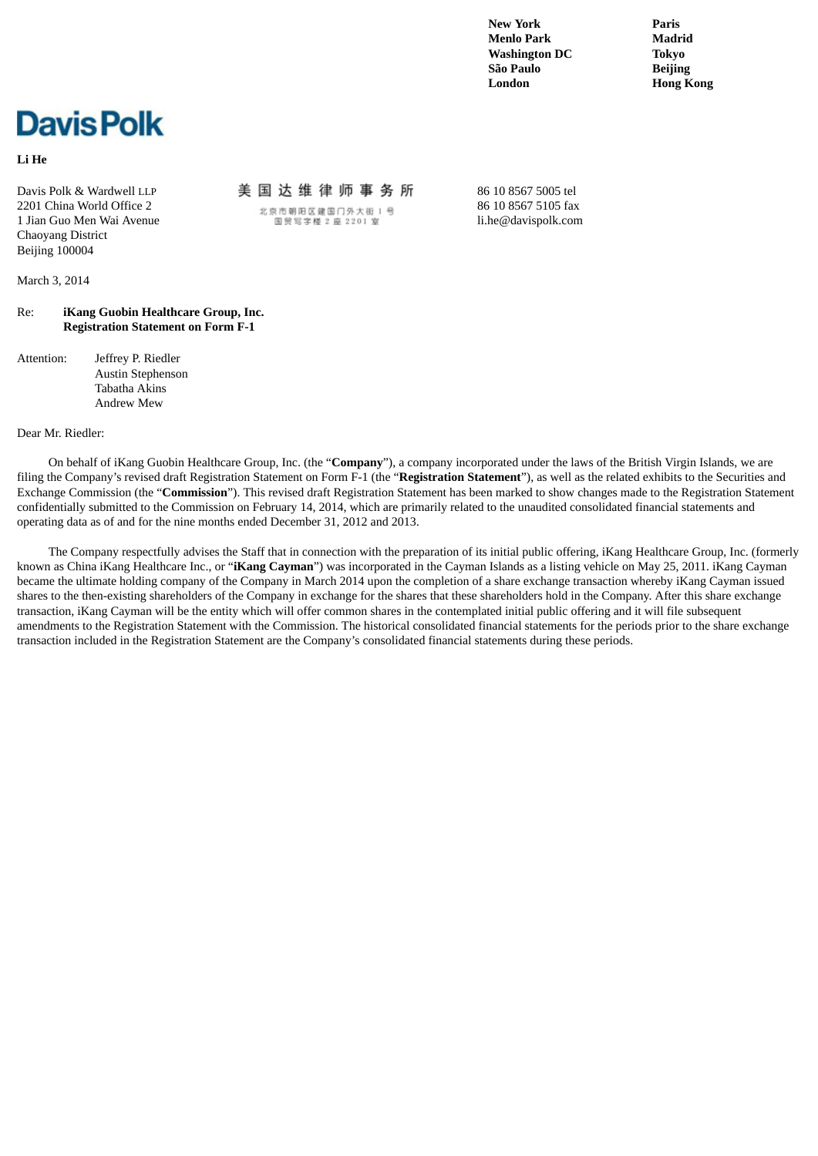**New York Menlo Park Washington DC São Paulo London**

**Paris Madrid Tokyo Beijing Hong Kong**

# **Davis Polk**

### **Li He**

Davis Polk & Wardwell LLP 2201 China World Office 2 1 Jian Guo Men Wai Avenue Chaoyang District Beijing 100004

March 3, 2014

#### Re: **iKang Guobin Healthcare Group, Inc. Registration Statement on Form F-1**

| Attention: | Jeffrey P. Riedler       |
|------------|--------------------------|
|            | <b>Austin Stephenson</b> |
|            | Tabatha Akins            |
|            | Andrew Mew               |

Dear Mr. Riedler:

On behalf of iKang Guobin Healthcare Group, Inc. (the "**Company**"), a company incorporated under the laws of the British Virgin Islands, we are filing the Company's revised draft Registration Statement on Form F-1 (the "**Registration Statement**"), as well as the related exhibits to the Securities and Exchange Commission (the "**Commission**"). This revised draft Registration Statement has been marked to show changes made to the Registration Statement confidentially submitted to the Commission on February 14, 2014, which are primarily related to the unaudited consolidated financial statements and operating data as of and for the nine months ended December 31, 2012 and 2013.

The Company respectfully advises the Staff that in connection with the preparation of its initial public offering, iKang Healthcare Group, Inc. (formerly known as China iKang Healthcare Inc., or "**iKang Cayman**") was incorporated in the Cayman Islands as a listing vehicle on May 25, 2011. iKang Cayman became the ultimate holding company of the Company in March 2014 upon the completion of a share exchange transaction whereby iKang Cayman issued shares to the then-existing shareholders of the Company in exchange for the shares that these shareholders hold in the Company. After this share exchange transaction, iKang Cayman will be the entity which will offer common shares in the contemplated initial public offering and it will file subsequent amendments to the Registration Statement with the Commission. The historical consolidated financial statements for the periods prior to the share exchange transaction included in the Registration Statement are the Company's consolidated financial statements during these periods.

## 美国达维律师事务所

北京市朝阳区建国门外大街 1号 国贸写字楼 2座 2201室

86 10 8567 5005 tel 86 10 8567 5105 fax li.he@davispolk.com